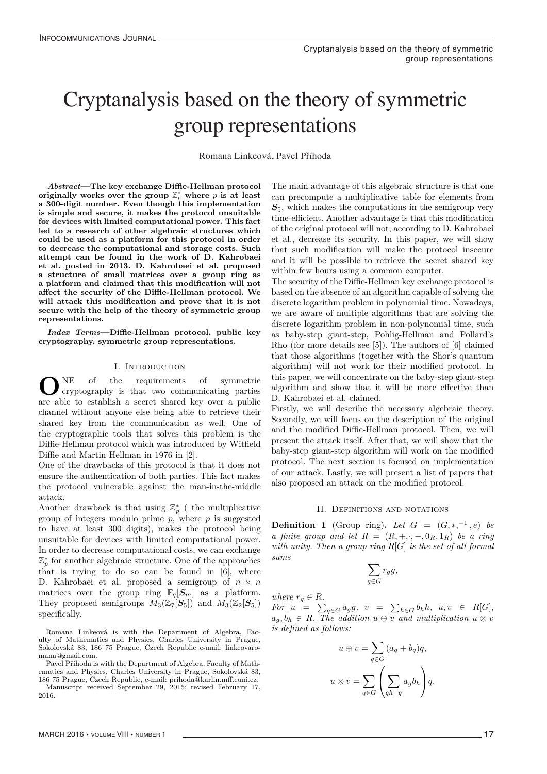# Cryptanalysis based on the theory of symmetric Cryptanalysis based on the theory of symmetric group representations group representations

Romana Linkeová, Pavel Příhoda

*Abstract***—The key exchange Diffie-Hellman protocol**  $\textbf{originally works over the group $\mathbb{Z}_p^*$ where $p$ is at least}\$ **a 300-digit number. Even though this implementation is simple and secure, it makes the protocol unsuitable for devices with limited computational power. This fact led to a research of other algebraic structures which could be used as a platform for this protocol in order to decrease the computational and storage costs. Such attempt can be found in the work of D. Kahrobaei et al. posted in 2013. D. Kahrobaei et al. proposed a structure of small matrices over a group ring as a platform and claimed that this modification will not affect the security of the Diffie-Hellman protocol. We will attack this modification and prove that it is not secure with the help of the theory of symmetric group representations.**

*Index Terms***—Diffie-Hellman protocol, public key cryptography, symmetric group representations.**

### I. INTRODUCTION

**O**NE of the requirements of symmetric cryptography is that two communicating parties are able to establish a secret shared key over a public channel without anyone else being able to retrieve their shared key from the communication as well. One of the cryptographic tools that solves this problem is the Diffie-Hellman protocol which was introduced by Witfield Diffie and Martin Hellman in 1976 in [2].

One of the drawbacks of this protocol is that it does not ensure the authentication of both parties. This fact makes the protocol vulnerable against the man-in-the-middle attack.

Another drawback is that using  $\mathbb{Z}_p^*$  ( the multiplicative group of integers modulo prime  $p$ , where  $p$  is suggested to have at least 300 digits), makes the protocol being unsuitable for devices with limited computational power. In order to decrease computational costs, we can exchange Z<sup>∗</sup> *<sup>p</sup>* for another algebraic structure. One of the approaches that is trying to do so can be found in  $[6]$ , where D. Kahrobaei et al. proposed a semigroup of  $n \times n$ matrices over the group ring  $\mathbb{F}_q[S_m]$  as a platform. They proposed semigroups  $M_3(\mathbb{Z}_7[\mathbf{S}_5])$  and  $M_3(\mathbb{Z}_2[\mathbf{S}_5])$ specifically.

Romana Linkeová is with the Department of Algebra, Faculty of Mathematics and Physics, Charles University in Prague, Sokolovská 83, 186 75 Prague, Czech Republic e-mail: linkeovaromana@gmail.com.

Pavel Příhoda is with the Department of Algebra, Faculty of Mathematics and Physics, Charles University in Prague, Sokolovská 83,

186 75 Prague, Czech Republic, e-mail: prihoda@karlin.mff.cuni.cz. Manuscript received September 29, 2015; revised February 17, 2016.

The main advantage of this algebraic structure is that one can precompute a multiplicative table for elements from  $S<sub>5</sub>$ , which makes the computations in the semigroup very time-efficient. Another advantage is that this modification of the original protocol will not, according to D. Kahrobaei et al., decrease its security. In this paper, we will show that such modification will make the protocol insecure and it will be possible to retrieve the secret shared key within few hours using a common computer.

The security of the Diffie-Hellman key exchange protocol is based on the absence of an algorithm capable of solving the discrete logarithm problem in polynomial time. Nowadays, we are aware of multiple algorithms that are solving the discrete logarithm problem in non-polynomial time, such as baby-step giant-step, Pohlig-Hellman and Pollard's Rho (for more details see [5]). The authors of [6] claimed that those algorithms (together with the Shor's quantum algorithm) will not work for their modified protocol. In this paper, we will concentrate on the baby-step giant-step algorithm and show that it will be more effective than D. Kahrobaei et al. claimed.

Firstly, we will describe the necessary algebraic theory. Secondly, we will focus on the description of the original and the modified Diffie-Hellman protocol. Then, we will present the attack itself. After that, we will show that the baby-step giant-step algorithm will work on the modified protocol. The next section is focused on implementation of our attack. Lastly, we will present a list of papers that also proposed an attack on the modified protocol.

### II. DEFINITIONS AND NOTATIONS

**Definition 1** (Group ring)**.** *Let*  $G = (G, *, ^{-1}, e)$  *be a finite group and let*  $R = (R, +, \cdot, -, 0_R, 1_R)$  *be a ring with unity. Then a group ring R*[*G*] *is the set of all formal sums*

$$
\sum_{g \in G} r_g g,
$$

*where*  $r_q \in R$ *.* 

*For*  $u = \sum_{g \in G} a_g g$ ,  $v = \sum_{h \in G} b_h h$ ,  $u, v \in R[G]$ ,  $a_g, b_h \in R$ *. The addition*  $u \oplus v$  *and multiplication*  $u \otimes v$ *is defined as follows:*

$$
u \oplus v = \sum_{q \in G} (a_q + b_q)q,
$$
  

$$
u \otimes v = \sum_{q \in G} \left(\sum_{gh=q} a_g b_h\right)q.
$$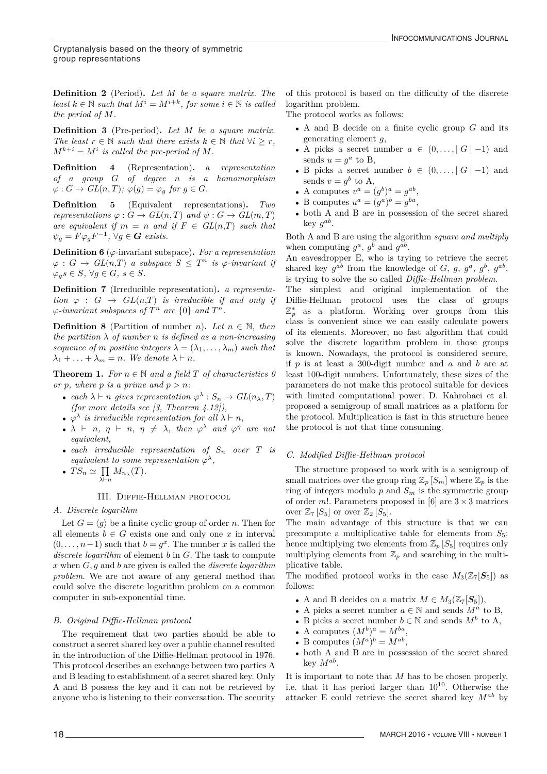Cryptanalysis based on the theory of symmetric group representations

**Definition 2** (Period)**.** *Let M be a square matrix. The least*  $k \in \mathbb{N}$  *such that*  $M^i = M^{i+k}$ *, for some*  $i \in \mathbb{N}$  *is called the period of M.*

**Definition 3** (Pre-period)**.** *Let M be a square matrix. The least*  $r \in \mathbb{N}$  *such that there exists*  $k \in \mathbb{N}$  *that*  $\forall i \geq r$ *,*  $M^{k+i} = M^i$  *is called the pre-period of M.* 

**Definition 4** (Representation)**.** *a representation of a group G of degree n is a homomorphism*  $\varphi: G \to GL(n,T); \varphi(g) = \varphi_g$  *for*  $g \in G$ *.* 

**Definition 5** (Equivalent representations)**.** *Two representations*  $\varphi$  :  $G \to GL(n,T)$  *and*  $\psi$  :  $G \to GL(m,T)$ *are equivalent if*  $m = n$  *and if*  $F \in GL(n,T)$  *such that*  $\psi_q = F \varphi_q F^{-1}, \ \forall g \in G \ \text{exists}.$ 

**Definition 6** (*ϕ*-invariant subspace)**.** *For a representation*  $\varphi: G \to GL(n,T)$  *a subspace*  $S \leq T^n$  *is*  $\varphi$ *-invariant if*  $\varphi_a s \in S$ ,  $\forall g \in G$ ,  $s \in S$ .

**Definition 7** (Irreducible representation)**.** *a representation*  $\varphi$  :  $G \rightarrow GL(n,T)$  *is irreducible if and only if*  $\varphi$ -invariant subspaces of  $T^n$  are  $\{0\}$  and  $T^n$ .

**Definition 8** (Partition of number *n*). Let  $n \in \mathbb{N}$ , then *the partition*  $\lambda$  *of number n is defined as a non-increasing sequence of m positive integers*  $\lambda = (\lambda_1, \dots, \lambda_m)$  *such that*  $\lambda_1 + \ldots + \lambda_m = n$ *. We denote*  $\lambda \vdash n$ *.* 

**Theorem 1.** *For*  $n \in \mathbb{N}$  *and a field*  $T$  *of characteristics*  $\theta$ *or p*, where *p is a prime and*  $p > n$ *:* 

- *each*  $\lambda \vdash n$  *gives representation*  $\varphi^{\lambda}: S_n \to GL(n_{\lambda}, T)$ *(for more details see [3, Theorem 4.12]),*
- $\varphi^{\lambda}$  *is irreducible representation for all*  $\lambda \vdash n$ ,
- $\lambda \vdash n, \eta \vdash n, \eta \neq \lambda$ , then  $\varphi^{\lambda}$  and  $\varphi^{\eta}$  are not *equivalent,*
- *each irreducible representation of S<sup>n</sup> over T is equivalent to some representation*  $\varphi^{\lambda}$ *,*
- $TS_n \simeq \prod_{\lambda \vdash n}$  $M_{n_{\lambda}}(T)$ .

#### III. Diffie-Hellman protocol

#### *A. Discrete logarithm*

Let  $G = \langle g \rangle$  be a finite cyclic group of order *n*. Then for all elements  $b \in G$  exists one and only one x in interval  $(0, \ldots, n-1)$  such that  $b = g^x$ . The number *x* is called the *discrete logarithm* of element *b* in *G*. The task to compute *x* when *G, g* and *b* are given is called the *discrete logarithm problem*. We are not aware of any general method that could solve the discrete logarithm problem on a common computer in sub-exponential time.

#### *B. Original Diffie-Hellman protocol*

The requirement that two parties should be able to construct a secret shared key over a public channel resulted in the introduction of the Diffie-Hellman protocol in 1976. This protocol describes an exchange between two parties A and B leading to establishment of a secret shared key. Only A and B possess the key and it can not be retrieved by anyone who is listening to their conversation. The security

of this protocol is based on the difficulty of the discrete logarithm problem.

The protocol works as follows:

- A and B decide on a finite cyclic group *G* and its generating element *g*,
- A picks a secret number  $a \in (0, \ldots, |G|-1)$  and sends  $u = g^a$  to B,
- B picks a secret number  $b \in (0, \ldots, |G|-1)$  and sends  $v = g^b$  to A,
- A computes  $v^a = (g^b)^a = g^{ab}$ ,
- B computes  $u^a = (g^a)^b = g^{ba}$ ,
- both A and B are in possession of the secret shared key *gab*.

Both A and B are using the algorithm *square and multiply* when computing  $g^a$ ,  $g^b$  and  $g^{ab}$ .

An eavesdropper E, who is trying to retrieve the secret shared key  $g^{ab}$  from the knowledge of *G*, *g*,  $g^a$ ,  $g^b$ ,  $g^{ab}$ , is trying to solve the so called *Diffie-Hellman problem*.

The simplest and original implementation of the Diffie-Hellman protocol uses the class of groups Z<sup>∗</sup> *<sup>p</sup>* as a platform. Working over groups from this class is convenient since we can easily calculate powers of its elements. Moreover, no fast algorithm that could solve the discrete logarithm problem in those groups is known. Nowadays, the protocol is considered secure, if *p* is at least a 300-digit number and *a* and *b* are at least 100-digit numbers. Unfortunately, these sizes of the parameters do not make this protocol suitable for devices with limited computational power. D. Kahrobaei et al. proposed a semigroup of small matrices as a platform for the protocol. Multiplication is fast in this structure hence the protocol is not that time consuming.

#### *C. Modified Diffie-Hellman protocol*

The structure proposed to work with is a semigroup of small matrices over the group ring  $\mathbb{Z}_p$  [ $S_m$ ] where  $\mathbb{Z}_p$  is the ring of integers modulo  $p$  and  $S_m$  is the symmetric group of order *m*!. Parameters proposed in [6] are  $3 \times 3$  matrices over  $\mathbb{Z}_7 [S_5]$  or over  $\mathbb{Z}_2 [S_5]$ .

The main advantage of this structure is that we can precompute a multiplicative table for elements from  $S_5$ ; hence multiplying two elements from  $\mathbb{Z}_p[S_5]$  requires only multiplying elements from  $\mathbb{Z}_p$  and searching in the multiplicative table.

The modified protocol works in the case  $M_3(\mathbb{Z}_7[\mathbf{S}_5])$  as follows:

- A and B decides on a matrix  $M \in M_3(\mathbb{Z}_7[\mathbf{S}_5]),$
- A picks a secret number  $a \in \mathbb{N}$  and sends  $M^a$  to B,
- B picks a secret number  $b \in \mathbb{N}$  and sends  $M^b$  to A,
- A computes  $(M^b)^a = M^{ba}$ ,
- B computes  $(M^a)^b = M^{ab}$ ,
- both A and B are in possession of the secret shared key *Mab*.

It is important to note that *M* has to be chosen properly, i.e. that it has period larger than  $10^{10}$ . Otherwise the attacker E could retrieve the secret shared key *Mab* by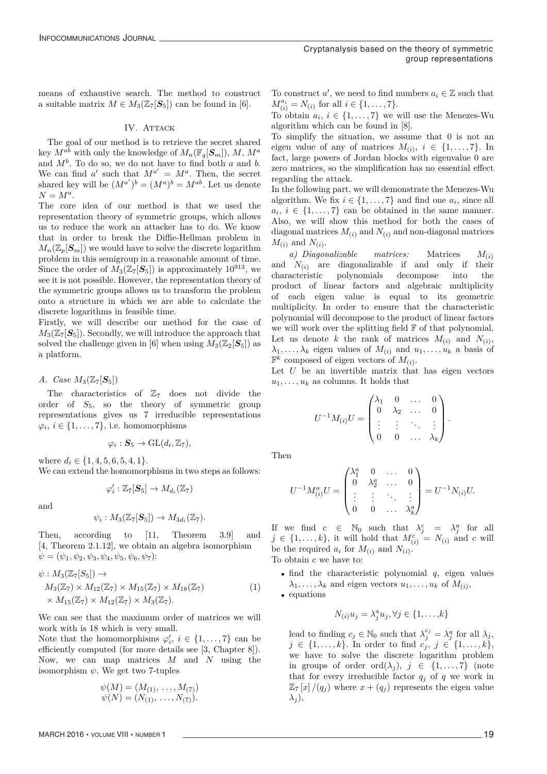means of exhaustive search. The method to construct a suitable matrix  $M \in M_3(\mathbb{Z}_7[\mathbf{S}_5])$  can be found in [6].

#### IV. ATTACK

The goal of our method is to retrieve the secret shared key  $M^{ab}$  with only the knowledge of  $M_n(\mathbb{F}_q[\mathcal{S}_m])$ ,  $M, M^a$ and *M<sup>b</sup>*. To do so, we do not have to find both *a* and *b*. We can find *a'* such that  $M^{a'} = M^a$ . Then, the secret shared key will be  $(M^{a'})^b = (M^a)^b = M^{ab}$ . Let us denote  $N = M^a$ .

The core idea of our method is that we used the representation theory of symmetric groups, which allows us to reduce the work an attacker has to do. We know that in order to break the Diffie-Hellman problem in  $M_n(\mathbb{Z}_p[\mathbf{S}_m])$  we would have to solve the discrete logarithm problem in this semigroup in a reasonable amount of time. Since the order of  $M_3(\mathbb{Z}_7[\mathbf{S}_5])$  is approximately  $10^{913}$ , we see it is not possible. However, the representation theory of the symmetric groups allows us to transform the problem onto a structure in which we are able to calculate the discrete logarithms in feasible time.

Firstly, we will describe our method for the case of  $M_3(\mathbb{Z}_7[\mathbf{S}_5])$ . Secondly, we will introduce the approach that solved the challenge given in [6] when using  $M_3(\mathbb{Z}_2[\mathbf{S}_5])$  as a platform.

*A.* Case  $M_3(\mathbb{Z}_7[\mathbf{S}_5])$ 

The characteristics of  $\mathbb{Z}_7$  does not divide the order of  $S_5$ , so the theory of symmetric group representations gives us 7 irreducible representations  $\varphi_i, i \in \{1, \ldots, 7\},$  i.e. homomorphisms

$$
\varphi_i: \mathbf{S}_5 \to \mathrm{GL}(d_i,\mathbb{Z}_7),
$$

where  $d_i \in \{1, 4, 5, 6, 5, 4, 1\}.$ 

We can extend the homomorphisms in two steps as follows:

$$
\varphi_i':\mathbb{Z}_7[\boldsymbol{S}_5]\to M_{d_i}(\mathbb{Z}_7)
$$

and

$$
\psi_i: M_3(\mathbb{Z}_7[\mathbf{S}_5]) \to M_{3d_i}(\mathbb{Z}_7).
$$

Then, according to [11, Theorem 3.9] and [4, Theorem 2.1.12], we obtain an algebra isomorphism  $\psi = (\psi_1, \psi_2, \psi_3, \psi_4, \psi_5, \psi_6, \psi_7)$ :

$$
\psi: M_3(\mathbb{Z}_7[S_5]) \to
$$
  
\n
$$
M_3(\mathbb{Z}_7) \times M_{12}(\mathbb{Z}_7) \times M_{15}(\mathbb{Z}_7) \times M_{18}(\mathbb{Z}_7)
$$
  
\n
$$
\times M_{15}(\mathbb{Z}_7) \times M_{12}(\mathbb{Z}_7) \times M_3(\mathbb{Z}_7).
$$
\n(1)

We can see that the maximum order of matrices we will work with is 18 which is very small.

Note that the homomorphisms  $\varphi'_i$ ,  $i \in \{1, \ldots, 7\}$  can be efficiently computed (for more details see [3, Chapter 8]). Now, we can map matrices *M* and *N* using the isomorphism  $\psi$ . We get two 7-tuples

$$
\psi(M) = (M_{(1)}, \dots, M_{(7)})
$$
  

$$
\psi(N) = (N_{(1)}, \dots, N_{(7)}).
$$

To construct *a'*, we need to find numbers  $a_i \in \mathbb{Z}$  such that  $M_{(i)}^{a_i} = N_{(i)}$  for all  $i \in \{1, ..., 7\}$ .

To obtain  $a_i, i \in \{1, \ldots, 7\}$  we will use the Menezes-Wu algorithm which can be found in [8].

To simplify the situation, we assume that 0 is not an eigen value of any of matrices  $M_{(i)}$ ,  $i \in \{1, \ldots, 7\}$ . In fact, large powers of Jordan blocks with eigenvalue 0 are zero matrices, so the simplification has no essential effect regarding the attack.

In the following part, we will demonstrate the Menezes-Wu algorithm. We fix  $i \in \{1, \ldots, 7\}$  and find one  $a_i$ , since all  $a_i, i \in \{1, \ldots, 7\}$  can be obtained in the same manner. Also, we will show this method for both the cases of diagonal matrices  $M_{(i)}$  and  $N_{(i)}$  and non-diagonal matrices  $M_{(i)}$  and  $N_{(i)}$ .

*a) Diagonalizable matrices:* Matrices *M*(*i*) and  $N_{(i)}$  are diagonalizable if and only if their characteristic polynomials decompose into the polynomials product of linear factors and algebraic multiplicity of each eigen value is equal to its geometric multiplicity. In order to ensure that the characteristic polynomial will decompose to the product of linear factors we will work over the splitting field F of that polynomial. Let us denote *k* the rank of matrices  $M_{(i)}$  and  $N_{(i)}$ ,  $\lambda_1, \ldots, \lambda_k$  eigen values of  $M_{(i)}$  and  $u_1, \ldots, u_k$  a basis of  $\mathbb{F}^k$  composed of eigen vectors of  $M_{(i)}$ .

Let *U* be an invertible matrix that has eigen vectors  $u_1, \ldots, u_k$  as columns. It holds that

$$
U^{-1}M_{(i)}U = \begin{pmatrix} \lambda_1 & 0 & \dots & 0 \\ 0 & \lambda_2 & \dots & 0 \\ \vdots & \vdots & \ddots & \vdots \\ 0 & 0 & \dots & \lambda_k \end{pmatrix}.
$$

Then

$$
U^{-1}M_{(i)}^aU = \begin{pmatrix} \lambda_1^a & 0 & \dots & 0 \\ 0 & \lambda_2^a & \dots & 0 \\ \vdots & \vdots & \ddots & \vdots \\ 0 & 0 & \dots & \lambda_k^a \end{pmatrix} = U^{-1}N_{(i)}U.
$$

If we find  $c \in \mathbb{N}_0$  such that  $\lambda_j^c = \lambda_j^a$  for all  $j \in \{1, \ldots, k\}$ , it will hold that  $M_{(i)}^c = N_{(i)}$  and *c* will be the required  $a_i$  for  $M_{(i)}$  and  $N_{(i)}$ . To obtain *c* we have to:

• find the characteristic polynomial *q*, eigen values  $\lambda_1, \ldots, \lambda_k$  and eigen vectors  $u_1, \ldots, u_k$  of  $M_{(i)}$ , • equations

$$
N_{(i)}u_j = \lambda_j^a u_j, \forall j \in \{1, \ldots, k\}
$$

lead to finding  $c_j \in \mathbb{N}_0$  such that  $\lambda_j^{c_j} = \lambda_j^a$  for all  $\lambda_j$ , *j* ∈ {1,...,*k*}. In order to find  $c_j$ , *j* ∈ {1,...,*k*}, we have to solve the discrete logarithm problem in groups of order ord $(\lambda_j)$ ,  $j \in \{1, \ldots, 7\}$  (note that for every irreducible factor  $q_j$  of  $q$  we work in  $\mathbb{Z}_7 [x]/(q_j)$  where  $x + (q_j)$  represents the eigen value *λ<sup>j</sup>* ),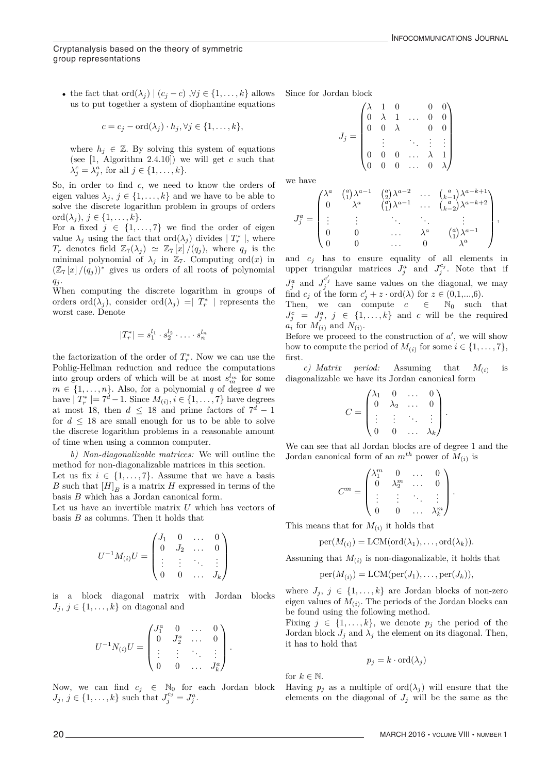### Cryptanalysis based on the theory of symmetric group representations

• the fact that ord $(\lambda_j) | (c_j - c) \, \forall j \in \{1, \ldots, k\}$  allows us to put together a system of diophantine equations

$$
c = c_j - \mathrm{ord}(\lambda_j) \cdot h_j, \forall j \in \{1, \ldots, k\},\
$$

where  $h_i \in \mathbb{Z}$ . By solving this system of equations (see [1, Algorithm 2.4.10]) we will get *c* such that  $\lambda_j^c = \lambda_j^a$ , for all  $j \in \{1, \ldots, k\}$ .

So, in order to find *c*, we need to know the orders of eigen values  $\lambda_j$ ,  $j \in \{1, ..., k\}$  and we have to be able to solve the discrete logarithm problem in groups of orders ord $(\lambda_j)$ ,  $j \in \{1, \ldots, k\}$ .

For a fixed  $j \in \{1, \ldots, 7\}$  we find the order of eigen value  $\lambda_j$  using the fact that ord $(\lambda_j)$  divides  $|T_r^*|$ , where *T<sub>r</sub>* denotes field  $\mathbb{Z}_7(\lambda_j) \simeq \mathbb{Z}_7[x]/(q_j)$ , where  $q_j$  is the minimal polynomial of  $\lambda_j$  in  $\mathbb{Z}_7$ . Computing ord(*x*) in  $(\mathbb{Z}_7[x]/(q_i))^*$  gives us orders of all roots of polynomial *q<sup>j</sup>* .

When computing the discrete logarithm in groups of orders ord $(\lambda_j)$ , consider ord $(\lambda_j)$  =  $T_r^*$  | represents the worst case. Denote

$$
|T_r^*| = s_1^{l_1} \cdot s_2^{l_2} \cdot \ldots \cdot s_n^{l_n}
$$

the factorization of the order of  $T_r^*$ . Now we can use the Pohlig-Hellman reduction and reduce the computations into group orders of which will be at most  $s_m^{l_m}$  for some  $m \in \{1, \ldots, n\}$ . Also, for a polynomial *q* of degree *d* we have  $|T_r^*| = 7^d - 1$ . Since  $M_{(i)}$ ,  $i \in \{1, ..., 7\}$  have degrees at most 18, then  $d \leq 18$  and prime factors of  $7^d - 1$ for  $d \leq 18$  are small enough for us to be able to solve the discrete logarithm problems in a reasonable amount of time when using a common computer.

*b) Non-diagonalizable matrices:* We will outline the method for non-diagonalizable matrices in this section. Let us fix  $i \in \{1, \ldots, 7\}$ . Assume that we have a basis *B* such that  $[H]_B$  is a matrix *H* expressed in terms of the basis *B* which has a Jordan canonical form.

Let us have an invertible matrix *U* which has vectors of basis *B* as columns. Then it holds that

$$
U^{-1}M_{(i)}U = \begin{pmatrix} J_1 & 0 & \dots & 0 \\ 0 & J_2 & \dots & 0 \\ \vdots & \vdots & \ddots & \vdots \\ 0 & 0 & \dots & J_k \end{pmatrix}
$$

is a block diagonal matrix with Jordan blocks  $J_j, j \in \{1, \ldots, k\}$  on diagonal and

$$
U^{-1}N_{(i)}U = \begin{pmatrix} J_1^a & 0 & \dots & 0 \\ 0 & J_2^a & \dots & 0 \\ \vdots & \vdots & \ddots & \vdots \\ 0 & 0 & \dots & J_k^a \end{pmatrix}.
$$

Now, we can find  $c_j \in \mathbb{N}_0$  for each Jordan block  $J_j, j \in \{1, ..., k\}$  such that  $J_j^{c_j} = J_j^a$ .

Since for Jordan block

$$
J_j = \begin{pmatrix} \lambda & 1 & 0 & 0 & 0 \\ 0 & \lambda & 1 & \dots & 0 & 0 \\ 0 & 0 & \lambda & & 0 & 0 \\ \vdots & & & \ddots & \vdots & \vdots \\ 0 & 0 & 0 & \dots & \lambda & 1 \\ 0 & 0 & 0 & \dots & 0 & \lambda \end{pmatrix}
$$

we have

$$
J_j^a = \begin{pmatrix} \lambda^a & \binom{a}{1} \lambda^{a-1} & \binom{a}{2} \lambda^{a-2} & \cdots & \binom{a}{k-1} \lambda^{a-k+1} \\ 0 & \lambda^a & \binom{a}{1} \lambda^{a-1} & \cdots & \binom{a}{k-2} \lambda^{a-k+2} \\ \vdots & \vdots & \ddots & \ddots & \vdots \\ 0 & 0 & \cdots & \lambda^a & \binom{a}{1} \lambda^{a-1} \\ 0 & 0 & \cdots & 0 & \lambda^a \end{pmatrix},
$$

and *c<sup>j</sup>* has to ensure equality of all elements in upper triangular matrices  $J_j^a$  and  $J_j^{c_j}$ . Note that if  $J_j^a$  and  $J_j^{c'_j}$  have same values on the diagonal, we may

find  $c_j$  of the form  $c'_j + z \cdot \text{ord}(\lambda)$  for  $z \in (0,1,...,6)$ . Then, we can compute  $c \in \mathbb{N}_0$  such that

 $J_j^c = J_j^a, \ j \in \{1, \ldots, k\}$  and *c* will be the required  $a_i$ <sup>*f*</sup> for  $M(i)$ <sup>*i*</sup> and  $N(i)$ *.* 

Before we proceed to the construction of *a* , we will show how to compute the period of  $M_{(i)}$  for some  $i \in \{1, \ldots, 7\}$ , first.

*c) Matrix period:* Assuming that *M*(*i*) is diagonalizable we have its Jordan canonical form

$$
C = \begin{pmatrix} \lambda_1 & 0 & \dots & 0 \\ 0 & \lambda_2 & \dots & 0 \\ \vdots & \vdots & \ddots & \vdots \\ 0 & 0 & \dots & \lambda_k \end{pmatrix}.
$$

We can see that all Jordan blocks are of degree 1 and the Jordan canonical form of an  $m^{th}$  power of  $M_{(i)}$  is

$$
C^m = \begin{pmatrix} \lambda_1^m & 0 & \dots & 0 \\ 0 & \lambda_2^m & \dots & 0 \\ \vdots & \vdots & \ddots & \vdots \\ 0 & 0 & \dots & \lambda_k^m \end{pmatrix}.
$$

This means that for  $M_{(i)}$  it holds that

$$
per(M_{(i)}) = LCM(ord(\lambda_1),...,ord(\lambda_k)).
$$

Assuming that  $M_{(i)}$  is non-diagonalizable, it holds that

$$
per(M_{(i)}) = LCM(per(J_1), \ldots, per(J_k)),
$$

where  $J_j$ ,  $j \in \{1, ..., k\}$  are Jordan blocks of non-zero eigen values of  $M_{(i)}$ . The periods of the Jordan blocks can be found using the following method.

Fixing  $j \in \{1, \ldots, k\}$ , we denote  $p_j$  the period of the Jordan block  $J_j$  and  $\lambda_j$  the element on its diagonal. Then, it has to hold that

$$
p_j = k \cdot \text{ord}(\lambda_j)
$$

for  $k \in \mathbb{N}$ .

Having  $p_j$  as a multiple of  $\text{ord}(\lambda_j)$  will ensure that the elements on the diagonal of  $J_j$  will be the same as the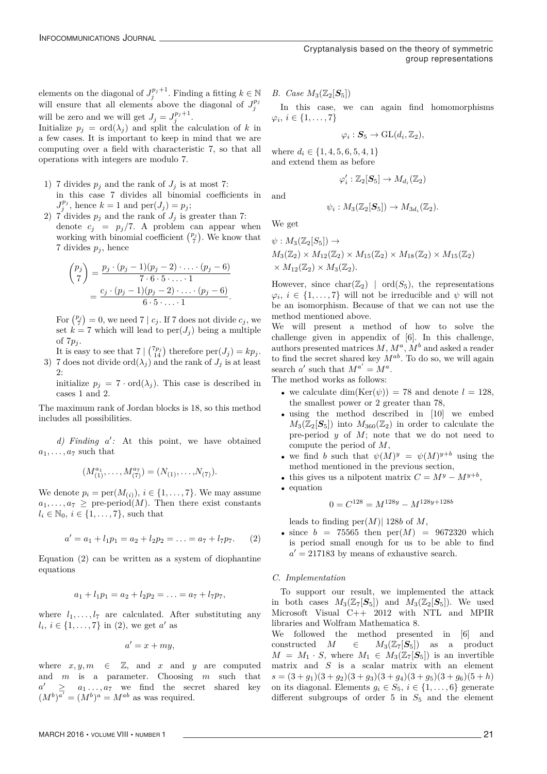elements on the diagonal of  $J_j^{p_j+1}$ . Finding a fitting  $k \in \mathbb{N}$ will ensure that all elements above the diagonal of  $J_j^{p_j}$ will be zero and we will get  $J_j = J_j^{p_j+1}$ .

Initialize  $p_j = \text{ord}(\lambda_j)$  and split the calculation of *k* in a few cases. It is important to keep in mind that we are computing over a field with characteristic 7, so that all operations with integers are modulo 7.

- 1) 7 divides  $p_j$  and the rank of  $J_j$  is at most 7: in this case 7 divides all binomial coefficients in  $J_j^{p_j}$ , hence  $k = 1$  and  $\text{per}(J_j) = p_j$ ;
- 2) 7 divides  $p_j$  and the rank of  $J_j$  is greater than 7: denote  $c_j = p_j/7$ . A problem can appear when working with binomial coefficient  $\binom{p_j}{7}$ . We know that 7 divides  $p_j$ , hence

$$
\binom{p_j}{7} = \frac{p_j \cdot (p_j - 1)(p_j - 2) \cdot \ldots \cdot (p_j - 6)}{7 \cdot 6 \cdot 5 \cdot \ldots \cdot 1} = \frac{c_j \cdot (p_j - 1)(p_j - 2) \cdot \ldots \cdot (p_j - 6)}{6 \cdot 5 \cdot \ldots \cdot 1}.
$$

For  $\binom{p_j}{7} = 0$ , we need 7 |  $c_j$ . If 7 does not divide  $c_j$ , we set  $k = 7$  which will lead to per $(J_i)$  being a multiple of 7*p<sup>j</sup>* .

It is easy to see that  $7 \binom{7p_j}{14}$  therefore  $\text{per}(J_j) = kp_j$ . 3) 7 does not divide ord $(\lambda_i)$  and the rank of  $J_i$  is at least  $2$ .

initialize  $p_j = 7 \cdot \text{ord}(\lambda_j)$ . This case is described in cases 1 and 2.

The maximum rank of Jordan blocks is 18, so this method includes all possibilities.

*d) Finding a :* At this point, we have obtained  $a_1, \ldots, a_7$  such that

$$
(M_{(1)}^{a_1}, \ldots, M_{(7)}^{a_7}) = (N_{(1)}, \ldots, N_{(7)}).
$$

We denote  $p_i = \text{per}(M_{(i)}), i \in \{1, \ldots, 7\}$ . We may assume  $a_1, \ldots, a_7 \geq \text{pre-period}(M)$ . Then there exist constants  $l_i \in \mathbb{N}_0$ ,  $i \in \{1, \ldots, 7\}$ , such that

$$
a' = a_1 + l_1 p_1 = a_2 + l_2 p_2 = \ldots = a_7 + l_7 p_7. \qquad (2)
$$

Equation (2) can be written as a system of diophantine equations

$$
a_1 + l_1 p_1 = a_2 + l_2 p_2 = \ldots = a_7 + l_7 p_7,
$$

where  $l_1, \ldots, l_7$  are calculated. After substituting any  $l_i, i \in \{1, ..., 7\}$  in (2), we get *a'* as

$$
a'=x+my,
$$

where  $x, y, m \in \mathbb{Z}$ , and  $x$  and  $y$  are computed and *m* is a parameter. Choosing *m* such that  $a' \geq a_1 \dots, a_7$  we find the secret shared key  $(M^b)^{a'} = (M^b)^a = M^{ab}$  as was required.

*B. Case*  $M_3(\mathbb{Z}_2[\mathbf{S}_5])$ 

In this case, we can again find homomorphisms  $\varphi_i, i \in \{1, \ldots, 7\}$ 

$$
\varphi_i: \mathbf{S}_5 \to \mathrm{GL}(d_i,\mathbb{Z}_2),
$$

where  $d_i \in \{1, 4, 5, 6, 5, 4, 1\}$ and extend them as before

$$
\varphi_i':\mathbb{Z}_2[\mathbf{S}_5]\to M_{d_i}(\mathbb{Z}_2)
$$

and

$$
\psi_i: M_3(\mathbb{Z}_2[\mathbf{S}_5]) \to M_{3d_i}(\mathbb{Z}_2).
$$

We get

$$
\psi: M_3(\mathbb{Z}_2[S_5]) \to
$$
  
\n
$$
M_3(\mathbb{Z}_2) \times M_{12}(\mathbb{Z}_2) \times M_{15}(\mathbb{Z}_2) \times M_{18}(\mathbb{Z}_2) \times M_{15}(\mathbb{Z}_2)
$$
  
\n
$$
\times M_{12}(\mathbb{Z}_2) \times M_3(\mathbb{Z}_2).
$$

However, since char( $\mathbb{Z}_2$ ) | ord( $S_5$ ), the representations  $\varphi_i, i \in \{1, \ldots, 7\}$  will not be irreducible and  $\psi$  will not be an isomorphism. Because of that we can not use the method mentioned above.

We will present a method of how to solve the challenge given in appendix of [6]. In this challenge, authors presented matrices *M*, *M<sup>a</sup>*, *M<sup>b</sup>* and asked a reader to find the secret shared key *Mab*. To do so, we will again search  $a'$  such that  $M^{a'} = M^a$ .

The method works as follows:

- we calculate  $\dim(\text{Ker}(\psi)) = 78$  and denote  $l = 128$ , the smallest power or 2 greater than 78,
- using the method described in [10] we embed  $M_3(\mathbb{Z}_2[\mathbf{S}_5])$  into  $M_{360}(\mathbb{Z}_2)$  in order to calculate the pre-period *y* of *M*; note that we do not need to compute the period of *M*,
- we find *b* such that  $\psi(M)^y = \psi(M)^{y+b}$  using the method mentioned in the previous section,
- this gives us a nilpotent matrix  $C = M^y M^{y+b}$ ,
- equation

$$
0 = C^{128} = M^{128y} - M^{128y + 128b}
$$

leads to finding per(*M*)| 128*b* of *M*,

• since  $b = 75565$  then  $per(M) = 9672320$  which is period small enough for us to be able to find  $a^\prime = 217183$  by means of exhaustive search.

# *C. Implementation*

To support our result, we implemented the attack in both cases  $M_3(\mathbb{Z}_7[\mathbf{S}_5])$  and  $M_3(\mathbb{Z}_2[\mathbf{S}_5])$ . We used Microsoft Visual C++ 2012 with NTL and MPIR libraries and Wolfram Mathematica 8.

We followed the method presented in [6] and constructed *M* ∈  $M_3(\mathbb{Z}_7[\mathbf{S}_5])$  as a product  $M = M_1 \cdot S$ , where  $M_1 \in M_3(\mathbb{Z}_7[\mathbf{S}_5])$  is an invertible matrix and *S* is a scalar matrix with an element  $s = (3 + g_1)(3 + g_2)(3 + g_3)(3 + g_4)(3 + g_5)(3 + g_6)(5 + h)$ on its diagonal. Elements  $g_i \in S_5$ ,  $i \in \{1, ..., 6\}$  generate different subgroups of order 5 in *S*<sup>5</sup> and the element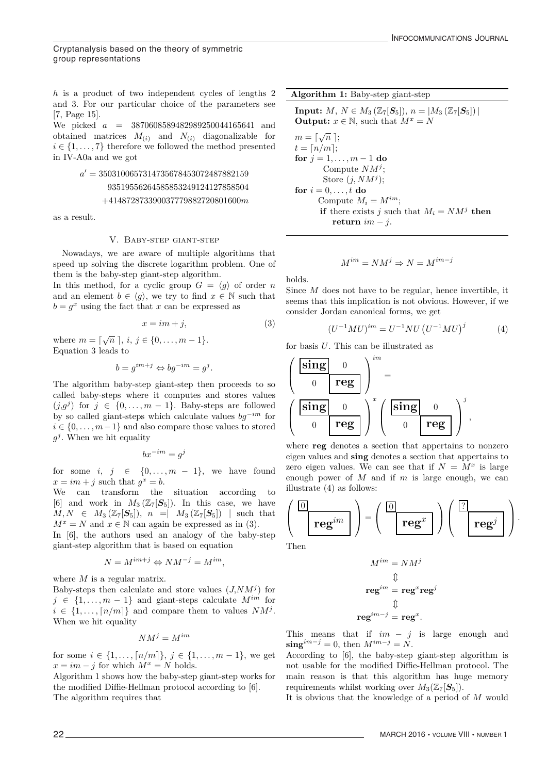Cryptanalysis based on the theory of symmetric group representations

*h* is a product of two independent cycles of lengths 2 and 3. For our particular choice of the parameters see [7, Page 15].

We picked *a* = 3870608589482989250044165641 and obtained matrices  $M_{(i)}$  and  $N_{(i)}$  diagonalizable for  $i \in \{1, \ldots, 7\}$  therefore we followed the method presented in IV-A0a and we got

# $a^\prime = 3503100657314735678453072487882159$ 93519556264585853249124127858504 +414872873390037779882720801600*m*

as a result.

# V. Baby-step giant-step

Nowadays, we are aware of multiple algorithms that speed up solving the discrete logarithm problem. One of them is the baby-step giant-step algorithm.

In this method, for a cyclic group  $G = \langle q \rangle$  of order *n* and an element  $b \in \langle g \rangle$ , we try to find  $x \in \mathbb{N}$  such that  $b = g^x$  using the fact that *x* can be expressed as

$$
x = im + j,\tag{3}
$$

where  $m = \sqrt{n} \, , i, j \in \{0, ..., m - 1\}.$ Equation 3 leads to

$$
b = g^{im+j} \Leftrightarrow bg^{-im} = g^j.
$$

The algorithm baby-step giant-step then proceeds to so called baby-steps where it computes and stores values  $(j, g^j)$  for  $j \in \{0, \ldots, m-1\}$ . Baby-steps are followed by so called giant-steps which calculate values *bg*−*im* for  $i \in \{0, \ldots, m-1\}$  and also compare those values to stored  $q^{j}$ . When we hit equality

$$
bx^{-im} = g^j
$$

for some  $i, j \in \{0, \ldots, m-1\}$ , we have found  $x = im + j$  such that  $g^x = b$ .

We can transform the situation according to [6] and work in  $M_3(\mathbb{Z}_7[\mathbf{S}_5])$ . In this case, we have  $M, N \in M_3(\mathbb{Z}_7[\mathbf{S}_5])$ ,  $n = | M_3(\mathbb{Z}_7[\mathbf{S}_5]) |$  such that  $M^x = N$  and  $x \in \mathbb{N}$  can again be expressed as in (3).

In [6], the authors used an analogy of the baby-step giant-step algorithm that is based on equation

$$
N = M^{im+j} \Leftrightarrow NM^{-j} = M^{im},
$$

where *M* is a regular matrix.

Baby-steps then calculate and store values  $(J, NM<sup>j</sup>)$  for  $j \in \{1, \ldots, m-1\}$  and giant-steps calculate  $M^{im}$  for  $i \in \{1, \ldots, \lceil n/m \rceil\}$  and compare them to values  $NM^j$ . When we hit equality

$$
NM^j=M^{im}
$$

for some *i* ∈ {1,...,  $\lceil n/m \rceil$ }, *j* ∈ {1,..., *m* − 1}, we get  $x = im - j$  for which  $M^x = N$  holds.

Algorithm 1 shows how the baby-step giant-step works for the modified Diffie-Hellman protocol according to [6]. The algorithm requires that

# **Algorithm 1:** Baby-step giant-step

**Input:**  $M, N \in M_3(\mathbb{Z}_7[S_5]), n = |M_3(\mathbb{Z}_7[S_5])|$ **Output:**  $x \in \mathbb{N}$ , such that  $M^x = N$  $m = \lceil \sqrt{n} \rceil;$  $t = \lceil n/m \rceil$ ; **for**  $j = 1, ..., m - 1$  **do** Compute *NM<sup>j</sup>* ; Store (*j, NM<sup>j</sup>* ); **for**  $i = 0, \ldots, t$  **do** Compute  $M_i = M^{im}$ ; **if** there exists *j* such that  $M_i = NM^j$  then **return**  $im - j$ .

$$
M^{im} = NM^j \Rightarrow N = M^{im-j}
$$

holds.

Since *M* does not have to be regular, hence invertible, it seems that this implication is not obvious. However, if we consider Jordan canonical forms, we get

$$
(U^{-1}MU)^{im} = U^{-1}NU(U^{-1}MU)^{j}
$$
 (4)

for basis *U*. This can be illustrated as

$$
\left(\begin{array}{c|c}\n\text{sing} & 0 \\
0 & \text{reg}\n\end{array}\right)^{im} = \left(\begin{array}{c|c}\n\text{sing} & 0 \\
0 & \text{reg}\n\end{array}\right)^{j},
$$

where **reg** denotes a section that appertains to nonzero eigen values and **sing** denotes a section that appertains to zero eigen values. We can see that if  $N = M^x$  is large enough power of *M* and if *m* is large enough, we can illustrate (4) as follows:

$$
\left(\begin{array}{c}\boxed{0} \\ \hline \textbf{reg}^{im}\end{array}\right) = \left(\begin{array}{c}\boxed{0} \\ \hline \textbf{reg}^x\end{array}\right) \left(\begin{array}{c}\boxed{?} \\ \hline \textbf{reg}^j\end{array}\right).
$$

Then

$$
M^{im} = NM^j
$$

$$
\begin{aligned}\n\text{reg}^{im} &= \text{reg}^x \text{reg}^j \\
\text{reg}^{im-j} &= \text{reg}^x.\n\end{aligned}
$$

This means that if  $im - j$  is large enough and  $\sin \mathbf{g}^{im-j} = 0$ , then  $M^{im-j} = N$ .

According to [6], the baby-step giant-step algorithm is not usable for the modified Diffie-Hellman protocol. The main reason is that this algorithm has huge memory requirements whilst working over  $M_3(\mathbb{Z}_7[\mathbf{S}_5])$ .

It is obvious that the knowledge of a period of *M* would